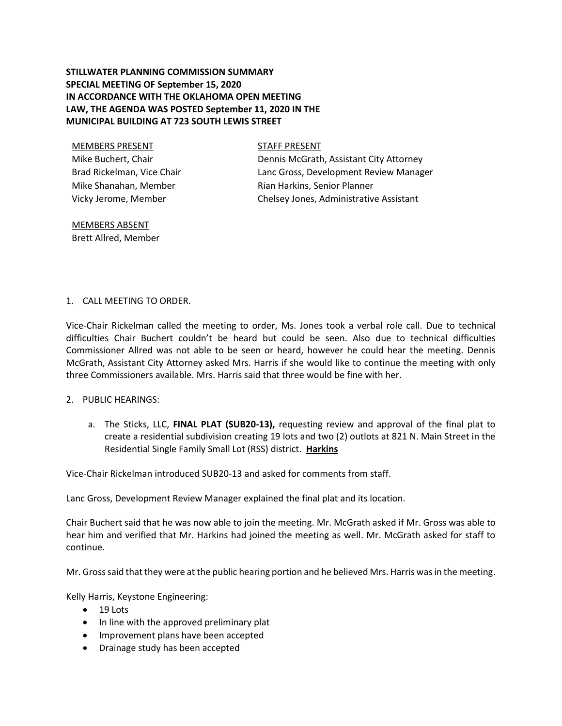# **STILLWATER PLANNING COMMISSION SUMMARY SPECIAL MEETING OF September 15, 2020 IN ACCORDANCE WITH THE OKLAHOMA OPEN MEETING LAW, THE AGENDA WAS POSTED September 11, 2020 IN THE MUNICIPAL BUILDING AT 723 SOUTH LEWIS STREET**

# MEMBERS PRESENT STAFF PRESENT Mike Buchert, Chair Brad Rickelman, Vice Chair Mike Shanahan, Member Vicky Jerome, Member

Dennis McGrath, Assistant City Attorney Lanc Gross, Development Review Manager Rian Harkins, Senior Planner Chelsey Jones, Administrative Assistant

### MEMBERS ABSENT Brett Allred, Member

## 1. CALL MEETING TO ORDER.

Vice-Chair Rickelman called the meeting to order, Ms. Jones took a verbal role call. Due to technical difficulties Chair Buchert couldn't be heard but could be seen. Also due to technical difficulties Commissioner Allred was not able to be seen or heard, however he could hear the meeting. Dennis McGrath, Assistant City Attorney asked Mrs. Harris if she would like to continue the meeting with only three Commissioners available. Mrs. Harris said that three would be fine with her.

### 2. PUBLIC HEARINGS:

a. The Sticks, LLC, **FINAL PLAT (SUB20-13),** requesting review and approval of the final plat to create a residential subdivision creating 19 lots and two (2) outlots at 821 N. Main Street in the Residential Single Family Small Lot (RSS) district. **Harkins**

Vice-Chair Rickelman introduced SUB20-13 and asked for comments from staff.

Lanc Gross, Development Review Manager explained the final plat and its location.

Chair Buchert said that he was now able to join the meeting. Mr. McGrath asked if Mr. Gross was able to hear him and verified that Mr. Harkins had joined the meeting as well. Mr. McGrath asked for staff to continue.

Mr. Gross said that they were at the public hearing portion and he believed Mrs. Harris was in the meeting.

Kelly Harris, Keystone Engineering:

- $-19$  Lots
- In line with the approved preliminary plat
- Improvement plans have been accepted
- Drainage study has been accepted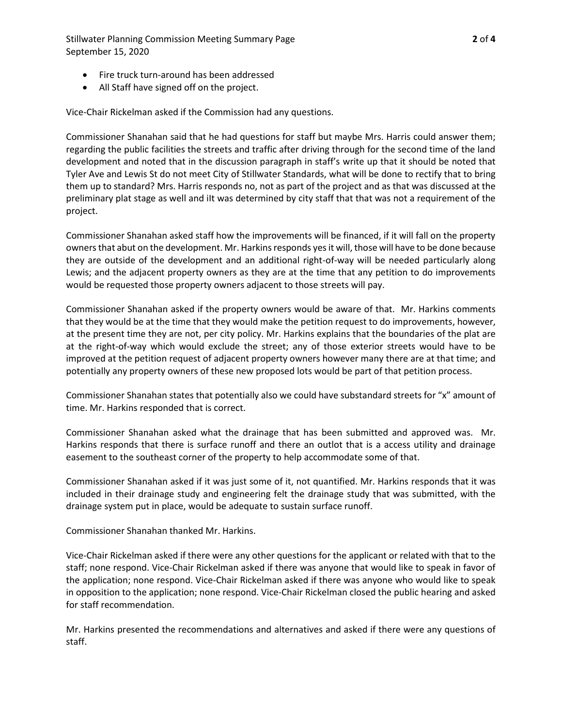Stillwater Planning Commission Meeting Summary Page **2** of **4** September 15, 2020

- Fire truck turn-around has been addressed
- All Staff have signed off on the project.

Vice-Chair Rickelman asked if the Commission had any questions.

Commissioner Shanahan said that he had questions for staff but maybe Mrs. Harris could answer them; regarding the public facilities the streets and traffic after driving through for the second time of the land development and noted that in the discussion paragraph in staff's write up that it should be noted that Tyler Ave and Lewis St do not meet City of Stillwater Standards, what will be done to rectify that to bring them up to standard? Mrs. Harris responds no, not as part of the project and as that was discussed at the preliminary plat stage as well and iIt was determined by city staff that that was not a requirement of the project.

Commissioner Shanahan asked staff how the improvements will be financed, if it will fall on the property owners that abut on the development. Mr. Harkins responds yes it will, those will have to be done because they are outside of the development and an additional right-of-way will be needed particularly along Lewis; and the adjacent property owners as they are at the time that any petition to do improvements would be requested those property owners adjacent to those streets will pay.

Commissioner Shanahan asked if the property owners would be aware of that. Mr. Harkins comments that they would be at the time that they would make the petition request to do improvements, however, at the present time they are not, per city policy. Mr. Harkins explains that the boundaries of the plat are at the right-of-way which would exclude the street; any of those exterior streets would have to be improved at the petition request of adjacent property owners however many there are at that time; and potentially any property owners of these new proposed lots would be part of that petition process.

Commissioner Shanahan states that potentially also we could have substandard streets for "x" amount of time. Mr. Harkins responded that is correct.

Commissioner Shanahan asked what the drainage that has been submitted and approved was. Mr. Harkins responds that there is surface runoff and there an outlot that is a access utility and drainage easement to the southeast corner of the property to help accommodate some of that.

Commissioner Shanahan asked if it was just some of it, not quantified. Mr. Harkins responds that it was included in their drainage study and engineering felt the drainage study that was submitted, with the drainage system put in place, would be adequate to sustain surface runoff.

Commissioner Shanahan thanked Mr. Harkins.

Vice-Chair Rickelman asked if there were any other questions for the applicant or related with that to the staff; none respond. Vice-Chair Rickelman asked if there was anyone that would like to speak in favor of the application; none respond. Vice-Chair Rickelman asked if there was anyone who would like to speak in opposition to the application; none respond. Vice-Chair Rickelman closed the public hearing and asked for staff recommendation.

Mr. Harkins presented the recommendations and alternatives and asked if there were any questions of staff.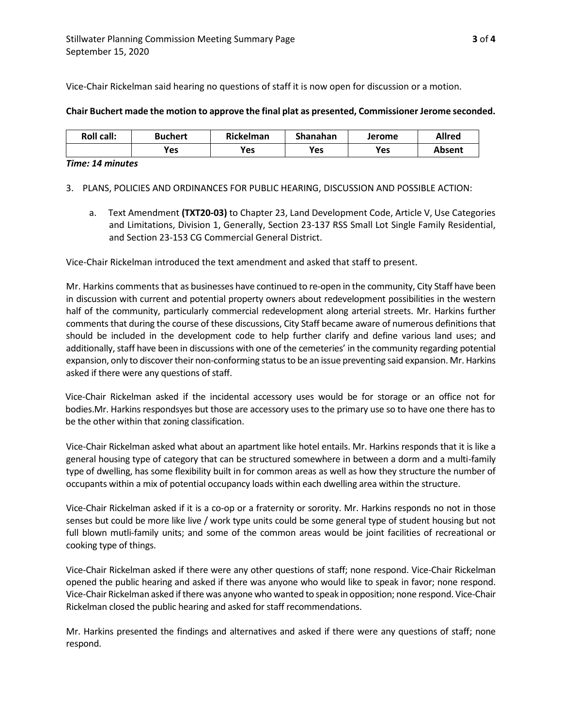Vice-Chair Rickelman said hearing no questions of staff it is now open for discussion or a motion.

#### **Chair Buchert made the motion to approve the final plat as presented, Commissioner Jerome seconded.**

| <b>Roll call:</b> | <b>Buchert</b> | Rickelman | Shanahan | Jerome | Allred |
|-------------------|----------------|-----------|----------|--------|--------|
|                   | Yes            | Yes       | Yes      | Yes    | Absent |

#### *Time: 14 minutes*

3. PLANS, POLICIES AND ORDINANCES FOR PUBLIC HEARING, DISCUSSION AND POSSIBLE ACTION:

a. Text Amendment **(TXT20-03)** to Chapter 23, Land Development Code, Article V, Use Categories and Limitations, Division 1, Generally, Section 23-137 RSS Small Lot Single Family Residential, and Section 23-153 CG Commercial General District.

Vice-Chair Rickelman introduced the text amendment and asked that staff to present.

Mr. Harkins comments that as businesses have continued to re-open in the community, City Staff have been in discussion with current and potential property owners about redevelopment possibilities in the western half of the community, particularly commercial redevelopment along arterial streets. Mr. Harkins further comments that during the course of these discussions, City Staff became aware of numerous definitions that should be included in the development code to help further clarify and define various land uses; and additionally, staff have been in discussions with one of the cemeteries' in the community regarding potential expansion, only to discover their non-conforming status to be an issue preventing said expansion. Mr. Harkins asked if there were any questions of staff.

Vice-Chair Rickelman asked if the incidental accessory uses would be for storage or an office not for bodies.Mr. Harkins respondsyes but those are accessory uses to the primary use so to have one there has to be the other within that zoning classification.

Vice-Chair Rickelman asked what about an apartment like hotel entails. Mr. Harkins responds that it is like a general housing type of category that can be structured somewhere in between a dorm and a multi-family type of dwelling, has some flexibility built in for common areas as well as how they structure the number of occupants within a mix of potential occupancy loads within each dwelling area within the structure.

Vice-Chair Rickelman asked if it is a co-op or a fraternity or sorority. Mr. Harkins responds no not in those senses but could be more like live / work type units could be some general type of student housing but not full blown mutli-family units; and some of the common areas would be joint facilities of recreational or cooking type of things.

Vice-Chair Rickelman asked if there were any other questions of staff; none respond. Vice-Chair Rickelman opened the public hearing and asked if there was anyone who would like to speak in favor; none respond. Vice-Chair Rickelman asked if there was anyone who wanted to speak in opposition; none respond. Vice-Chair Rickelman closed the public hearing and asked for staff recommendations.

Mr. Harkins presented the findings and alternatives and asked if there were any questions of staff; none respond.